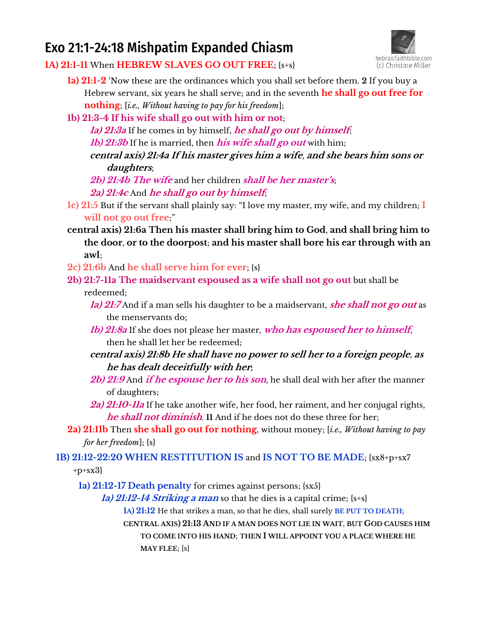# Exo 21:1-24:18 Mishpatim Expanded Chiasm



**1A) 21:1-11** When **HEBREW SLAVES GO OUT FREE**; {s+s}

- **1a) 21:1-2** 'Now these are the ordinances which you shall set before them. **2** If you buy a Hebrew servant, six years he shall serve; and in the seventh **he shall go out free for nothing**; [*i.e., Without having to pay for his freedom*];
- **1b) 21:3-4 If his wife shall go out with him or not**;

**1a) 21:3a** If he comes in by himself, **he shall go out by himself**;

*Ib)* **21:3b** If he is married, then *his wife shall go out* with him;

**central axis) 21:4a If his master gives him a wife**, **and she bears him sons or daughters**;

**2b) 21:4b The wife** and her children **shall be her master's**; **2a) 21:4c** And **he shall go out by himself**;

- **1c) 21:5** But if the servant shall plainly say: "I love my master, my wife, and my children; **I will not go out free**;"
- **central axis) 21:6a Then his master shall bring him to God**, **and shall bring him to the door**, **or to the doorpost**; **and his master shall bore his ear through with an awl**;

**2c) 21:6b** And **he shall serve him for ever**; {s}

**2b) 21:7-11a The maidservant espoused as a wife shall not go out** but shall be

#### redeemed;

- **1a) 21:7** And if a man sells his daughter to be a maidservant, **she shall not go out** as the menservants do;
- **1b) 21:8a** If she does not please her master, **who has espoused her to himself**, then he shall let her be redeemed;
- **central axis) 21:8b He shall have no power to sell her to a foreign people**, **as he has dealt deceitfully with her;**
- **2b) 21:9** And **if he espouse her to his son**, he shall deal with her after the manner of daughters;
- **2a) 21:10-11a** If he take another wife, her food, her raiment, and her conjugal rights, **he shall not diminish**. **11** And if he does not do these three for her;
- **2a) 21:11b** Then **she shall go out for nothing**, without money; [*i.e., Without having to pay for her freedom*]; {s}

# **1B) 21:12-22:20 WHEN RESTITUTION IS** and **IS NOT TO BE MADE**; {sx8+p+sx7

 $+p+sx3$ 

**1a) 21:12-17 Death penalty** for crimes against persons; {sx5}

**1a) 21:12-14 Striking a man** so that he dies is a capital crime; {s+s}

**1A) 21:12** He that strikes a man, so that he dies, shall surely **BE PUT TO DEATH**;

**CENTRAL AXIS) 21:13 AND IF A MAN DOES NOT LIE IN WAIT**, **BUT GOD CAUSES HIM TO COME INTO HIS HAND**; **THEN I WILL APPOINT YOU A PLACE WHERE HE**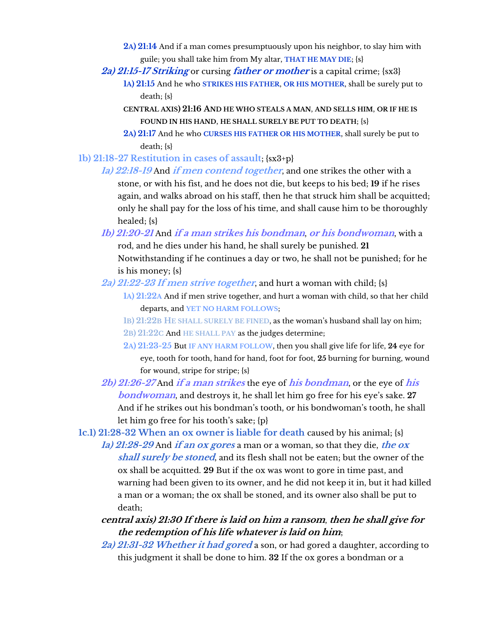- **2A) 21:14** And if a man comes presumptuously upon his neighbor, to slay him with guile; you shall take him from My altar, **THAT HE MAY DIE**; {s}
- **2a) 21:15-17 Striking** or cursing **father or mother** is a capital crime; {sx3}
	- **1A) 21:15** And he who **STRIKES HIS FATHER**, **OR HIS MOTHER**, shall be surely put to death; {s}
		- **CENTRAL AXIS) 21:16 AND HE WHO STEALS A MAN**, **AND SELLS HIM**, **OR IF HE IS FOUND IN HIS HAND**, **HE SHALL SURELY BE PUT TO DEATH**; {s}
		- **2A) 21:17** And he who **CURSES HIS FATHER OR HIS MOTHER**, shall surely be put to death; {s}
- **1b) 21:18-27 Restitution in cases of assault**; {sx3+p}

**1a) 22:18-19** And **if men contend together**, and one strikes the other with a stone, or with his fist, and he does not die, but keeps to his bed; **19** if he rises again, and walks abroad on his staff, then he that struck him shall be acquitted; only he shall pay for the loss of his time, and shall cause him to be thoroughly healed; {s}

- **1b) 21:20-21** And **if a man strikes his bondman**, **or his bondwoman**, with a rod, and he dies under his hand, he shall surely be punished. **21** Notwithstanding if he continues a day or two, he shall not be punished; for he is his money; {s}
- **2a) 21:22-23 If men strive together**, and hurt a woman with child; {s}
	- **1A) 21:22A** And if men strive together, and hurt a woman with child, so that her child departs, and **YET NO HARM FOLLOWS**;
	- **1**B) 21:22B HE SHALL SURELY BE FINED, as the woman's husband shall lay on him;
	- **2B) 21:22C** And **HE SHALL PAY** as the judges determine;
	- **2A) 21:23-25** But **IF ANY HARM FOLLOW**, then you shall give life for life, **24** eye for eye, tooth for tooth, hand for hand, foot for foot, **25** burning for burning, wound for wound, stripe for stripe; {s}
- **2b) 21:26-27** And **if a man strikes** the eye of **his bondman**, or the eye of **his bondwoman**, and destroys it, he shall let him go free for his eye's sake. **27** And if he strikes out his bondman's tooth, or his bondwoman's tooth, he shall let him go free for his tooth's sake;  ${p}$

**1c.1) 21:28-32 When an ox owner is liable for death** caused by his animal; {s}

**1a) 21:28-29** And **if an ox gores** a man or a woman, so that they die, **the ox shall surely be stoned**, and its flesh shall not be eaten; but the owner of the ox shall be acquitted. **29** But if the ox was wont to gore in time past, and warning had been given to its owner, and he did not keep it in, but it had killed a man or a woman; the ox shall be stoned, and its owner also shall be put to death;

## **central axis) 21:30 If there is laid on him a ransom**, **then he shall give for the redemption of his life whatever is laid on him**;

**2a) 21:31-32 Whether it had gored** a son, or had gored a daughter, according to this judgment it shall be done to him. **32** If the ox gores a bondman or a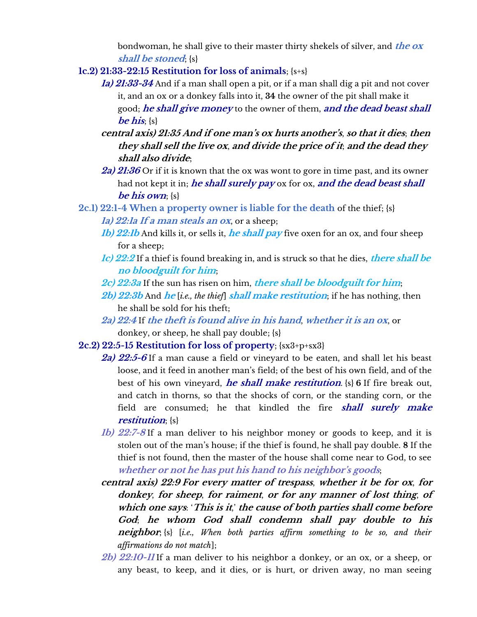bondwoman, he shall give to their master thirty shekels of silver, and **the ox shall be stoned**; {s}

- **1c.2) 21:33-22:15 Restitution for loss of animals**; {s+s}
	- **1a) 21:33-34** And if a man shall open a pit, or if a man shall dig a pit and not cover it, and an ox or a donkey falls into it, **34** the owner of the pit shall make it good; **he shall give money** to the owner of them, **and the dead beast shall be his**; {s}
	- **central axis) 21:35 And if one man's ox hurts another's**, **so that it dies**; **then they shall sell the live ox**, **and divide the price of it**; **and the dead they shall also divide**;
	- **2a) 21:36** Or if it is known that the ox was wont to gore in time past, and its owner had not kept it in; **he shall surely pay** ox for ox, **and the dead beast shall be his own**; {s}
- **2c.1) 22:1-4 When a property owner is liable for the death** of the thief; {s} **1a) 22:1a If a man steals an ox**, or a sheep;
	- **1b) 22:1b** And kills it, or sells it, **he shall pay** five oxen for an ox, and four sheep for a sheep;
	- **1c) 22:2** If a thief is found breaking in, and is struck so that he dies, **there shall be no bloodguilt for him**;
	- **2c) 22:3a** If the sun has risen on him, **there shall be bloodguilt for him**;
	- **2b) 22:3b** And **he** [*i.e., the thief*] **shall make restitution**; if he has nothing, then he shall be sold for his theft;
	- **2a) 22:4** If **the theft is found alive in his hand**, **whether it is an ox**, or donkey, or sheep, he shall pay double; {s}
- **2c.2) 22:5-15 Restitution for loss of property**; {sx3+p+sx3}
	- **2a) 22:5-6** If a man cause a field or vineyard to be eaten, and shall let his beast loose, and it feed in another man's field; of the best of his own field, and of the best of his own vineyard, **he shall make restitution**. {s} **6** If fire break out, and catch in thorns, so that the shocks of corn, or the standing corn, or the field are consumed; he that kindled the fire **shall surely make restitution**; {s}
	- **1b) 22:7-8** If a man deliver to his neighbor money or goods to keep, and it is stolen out of the man's house; if the thief is found, he shall pay double. **8** If the thief is not found, then the master of the house shall come near to God, to see **whether or not he has put his hand to his neighbor's goods**;
	- **central axis) 22:9 For every matter of trespass**, **whether it be for ox**, **for donkey**, **for sheep**, **for raiment**, **or for any manner of lost thing**, **of which one says**: '**This is it**,' **the cause of both parties shall come before God**; **he whom God shall condemn shall pay double to his neighbor**; {s} [*i.e., When both parties affirm something to be so, and their affirmations do not match*];
	- **2b) 22:10-11** If a man deliver to his neighbor a donkey, or an ox, or a sheep, or any beast, to keep, and it dies, or is hurt, or driven away, no man seeing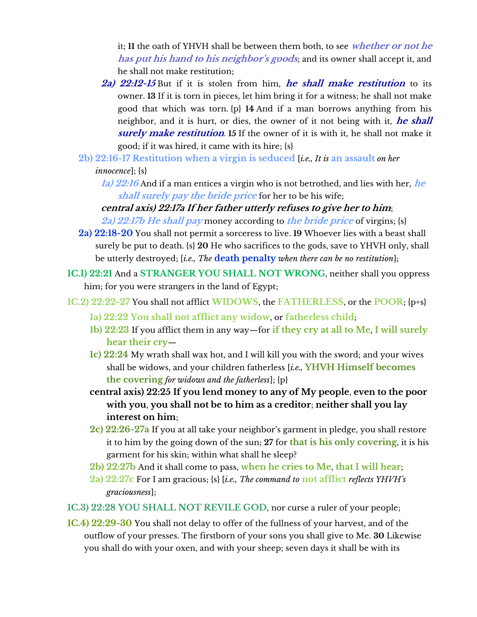it; **11** the oath of YHVH shall be between them both, to see **whether or not he has put his hand to his neighbor's goods**; and its owner shall accept it, and he shall not make restitution;

- **2a) 22:12-15** But if it is stolen from him, **he shall make restitution** to its owner. **13** If it is torn in pieces, let him bring it for a witness; he shall not make good that which was torn. {p} **14** And if a man borrows anything from his neighbor, and it is hurt, or dies, the owner of it not being with it, **he shall surely make restitution**. **15** If the owner of it is with it, he shall not make it good; if it was hired, it came with its hire; {s}
- **2b) 22:16-17 Restitution when a virgin is seduced** [*i.e., It is* **an assault** *on her*

*innocence*]; {s}

**1a) 22:16** And if a man entices a virgin who is not betrothed, and lies with her, **he shall surely pay the bride price** for her to be his wife;

# **central axis) 22:17a If her father utterly refuses to give her to him**; **2a) 22:17b He shall pay** money according to **the bride price** of virgins; {s}

- **2a) 22:18-20** You shall not permit a sorceress to live. **19** Whoever lies with a beast shall surely be put to death. {s} **20** He who sacrifices to the gods, save to YHVH only, shall be utterly destroyed; [*i.e., The* **death penalty** *when there can be no restitution*];
- **1C.1) 22:21** And a **STRANGER YOU SHALL NOT WRONG**, neither shall you oppress him; for you were strangers in the land of Egypt;
- **1C.2) 22:22-27** You shall not afflict **WIDOWS**, the **FATHERLESS**, or the **POOR**; {p+s}
	- **1a) 22:22 You shall not afflict any widow**, or **fatherless child**;
	- **1b) 22:23** If you afflict them in any way—for **if they cry at all to Me**, **I will surely hear their cry**—
	- **1c) 22:24** My wrath shall wax hot, and I will kill you with the sword; and your wives shall be widows, and your children fatherless [*i.e.,* **YHVH Himself becomes the covering** *for widows and the fatherless*]; {p}
	- **central axis) 22:25 If you lend money to any of My people**, **even to the poor with you**, **you shall not be to him as a creditor**; **neither shall you lay interest on him**;
	- **2c) 22:26-27a** If you at all take your neighbor's garment in pledge, you shall restore it to him by the going down of the sun; **27** for **that is his only covering**, it is his garment for his skin; within what shall he sleep?
	- **2b) 22:27b** And it shall come to pass, **when he cries to Me**, **that I will hear**;
	- **2a) 22:27c** For I am gracious; {s} [*i.e., The command to* **not afflict** *reflects YHVH's graciousness*];
- **1C.3) 22:28 YOU SHALL NOT REVILE GOD**, nor curse a ruler of your people;
- **1C.4) 22:29-30** You shall not delay to offer of the fullness of your harvest, and of the outflow of your presses. The firstborn of your sons you shall give to Me. **30** Likewise you shall do with your oxen, and with your sheep; seven days it shall be with its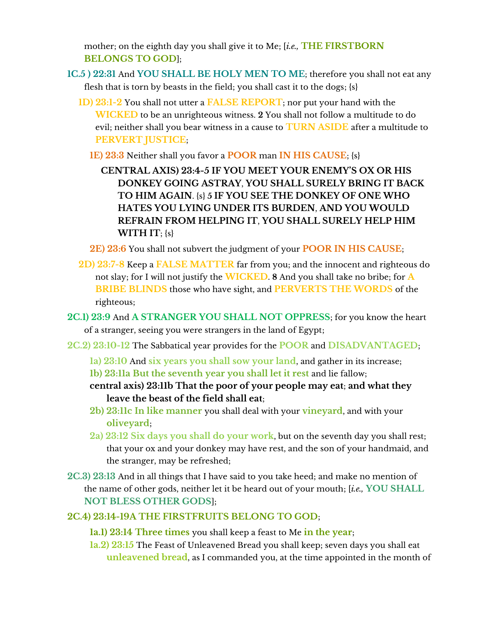mother; on the eighth day you shall give it to Me; [*i.e.,* **THE FIRSTBORN BELONGS TO GOD**];

- **1C.5 ) 22:31** And **YOU SHALL BE HOLY MEN TO ME**; therefore you shall not eat any flesh that is torn by beasts in the field; you shall cast it to the dogs; {s}
	- **1D) 23:1-2** You shall not utter a **FALSE REPORT**; nor put your hand with the **WICKED** to be an unrighteous witness. **2** You shall not follow a multitude to do evil; neither shall you bear witness in a cause to **TURN ASIDE** after a multitude to **PERVERT JUSTICE**;
		- **1E) 23:3** Neither shall you favor a **POOR** man **IN HIS CAUSE**; {s}
			- **CENTRAL AXIS) 23:4-5 IF YOU MEET YOUR ENEMY'S OX OR HIS DONKEY GOING ASTRAY**, **YOU SHALL SURELY BRING IT BACK TO HIM AGAIN**. {s} **5 IF YOU SEE THE DONKEY OF ONE WHO HATES YOU LYING UNDER ITS BURDEN**, **AND YOU WOULD REFRAIN FROM HELPING IT**, **YOU SHALL SURELY HELP HIM WITH IT**; {s}
		- **2E) 23:6** You shall not subvert the judgment of your **POOR IN HIS CAUSE**;
	- **2D) 23:7-8** Keep a **FALSE MATTER** far from you; and the innocent and righteous do not slay; for I will not justify the **WICKED**. **8** And you shall take no bribe; for **A BRIBE BLINDS** those who have sight, and **PERVERTS THE WORDS** of the righteous;
- **2C.1) 23:9** And **A STRANGER YOU SHALL NOT OPPRESS**; for you know the heart of a stranger, seeing you were strangers in the land of Egypt;
- **2C.2) 23:10-12** The Sabbatical year provides for the **POOR** and **DISADVANTAGED**;
	- **1a) 23:10** And **six years you shall sow your land**, and gather in its increase;
	- **1b) 23:11a But the seventh year you shall let it rest** and lie fallow;
	- **central axis) 23:11b That the poor of your people may eat**; **and what they leave the beast of the field shall eat**;
	- **2b) 23:11c In like manner** you shall deal with your **vineyard**, and with your **oliveyard**;
	- **2a) 23:12 Six days you shall do your work**, but on the seventh day you shall rest; that your ox and your donkey may have rest, and the son of your handmaid, and the stranger, may be refreshed;
- **2C.3) 23:13** And in all things that I have said to you take heed; and make no mention of the name of other gods, neither let it be heard out of your mouth; [*i.e.,* **YOU SHALL NOT BLESS OTHER GODS**];

### **2C.4) 23:14-19A THE FIRSTFRUITS BELONG TO GOD**;

- **1a.1) 23:14 Three times** you shall keep a feast to Me **in the year**;
- **1a.2) 23:15** The Feast of Unleavened Bread you shall keep; seven days you shall eat **unleavened bread**, as I commanded you, at the time appointed in the month of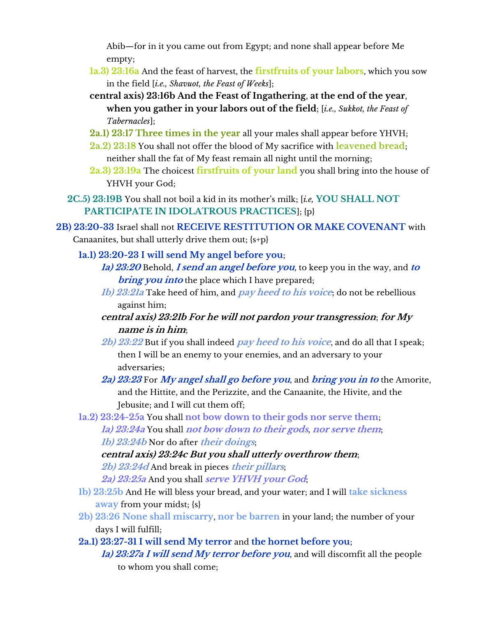Abib—for in it you came out from Egypt; and none shall appear before Me empty;

- **1a.3) 23:16a** And the feast of harvest, the **firstfruits of your labors**, which you sow in the field [*i.e., Shavuot, the Feast of Weeks*];
- **central axis) 23:16b And the Feast of Ingathering**, **at the end of the year**, **when you gather in your labors out of the field**; [*i.e., Sukkot, the Feast of Tabernacles*];
- **2a.1) 23:17 Three times in the year** all your males shall appear before YHVH;
- **2a.2) 23:18** You shall not offer the blood of My sacrifice with **leavened bread**; neither shall the fat of My feast remain all night until the morning;
- **2a.3) 23:19a** The choicest **firstfruits of your land** you shall bring into the house of YHVH your God;
- **2C.5) 23:19B** You shall not boil a kid in its mother's milk; [*i.e,* **YOU SHALL NOT PARTICIPATE IN IDOLATROUS PRACTICES**]; {p}
- **2B) 23:20-33** Israel shall not **RECEIVE RESTITUTION OR MAKE COVENANT** with Canaanites, but shall utterly drive them out; {s+p}
	- **1a.1) 23:20-23 I will send My angel before you**;
		- **1a) 23:20** Behold, **I send an angel before you**, to keep you in the way, and **to bring you into** the place which I have prepared;
			- **1b) 23:21a** Take heed of him, and **pay heed to his voice**; do not be rebellious against him;
			- **central axis) 23:21b For he will not pardon your transgression**; **for My name is in him**;
			- **2b) 23:22** But if you shall indeed **pay heed to his voice**, and do all that I speak; then I will be an enemy to your enemies, and an adversary to your adversaries;
		- **2a) 23:23** For **My angel shall go before you**, and **bring you in to** the Amorite, and the Hittite, and the Perizzite, and the Canaanite, the Hivite, and the Jebusite; and I will cut them off;
	- **1a.2) 23:24-25a** You shall **not bow down to their gods nor serve them**; **1a) 23:24a** You shall **not bow down to their gods**, **nor serve them**; **1b) 23:24b** Nor do after **their doings**;

**central axis) 23:24c But you shall utterly overthrow them**;

- **2b) 23:24d** And break in pieces **their pillars**;
- **2a) 23:25a** And you shall **serve YHVH your God**;
- **1b) 23:25b** And He will bless your bread, and your water; and I will **take sickness away** from your midst; {s}
- **2b) 23:26 None shall miscarry**, **nor be barren** in your land; the number of your days I will fulfill;

**2a.1) 23:27-31 I will send My terror** and **the hornet before you**;

**1a) 23:27a I will send My terror before you**, and will discomfit all the people to whom you shall come;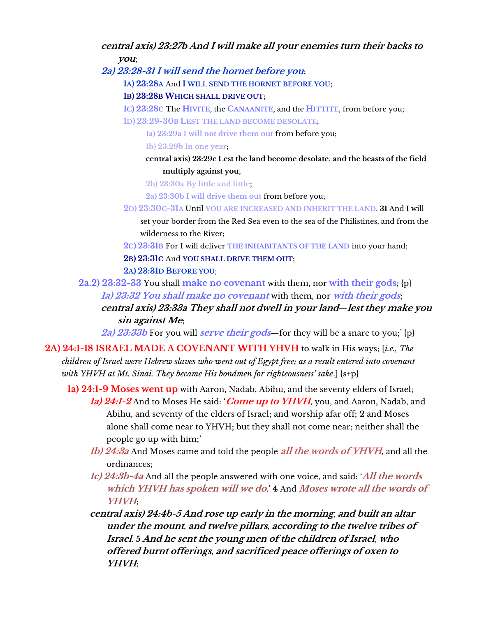#### **central axis) 23:27b And I will make all your enemies turn their backs to you**;

**2a) 23:28-31 I will send the hornet before you**;

- **1A) 23:28A** And **I WILL SEND THE HORNET BEFORE YOU**;
- **1B) 23:28B WHICH SHALL DRIVE OUT**;
- **1C) 23:28C** The **HIVITE**, the **CANAANITE**, and the **HITTITE**, from before you;
- **1D) 23:29-30B LEST THE LAND BECOME DESOLATE**;
	- **1a) 23:29a I will not drive them out** from before you;
	- **1b) 23:29b In one year**;
	- **central axis) 23:29c Lest the land become desolate**, **and the beasts of the field multiply against you**;
	- **2b) 23:30a By little and little**;
	- **2a) 23:30b I will drive them out** from before you;
- **2D) 23:30C-31A** Until **YOU ARE INCREASED AND INHERIT THE LAND**. **31** And I will set your border from the Red Sea even to the sea of the Philistines, and from the wilderness to the River;
- **2C) 23:31B** For I will deliver **THE INHABITANTS OF THE LAND** into your hand;
- **2B) 23:31C** And **YOU SHALL DRIVE THEM OUT**;

#### **2A) 23:31D BEFORE YOU**;

- **2a.2) 23:32-33** You shall **make no covenant** with them, nor **with their gods**; {p} **1a) 23:32 You shall make no covenant** with them, nor **with their gods**;
	- **central axis) 23:33a They shall not dwell in your land**—**lest they make you sin against Me**;

**2a) 23:33b** For you will **serve their gods**—for they will be a snare to you;' {p}

- **2A) 24:1-18 ISRAEL MADE A COVENANT WITH YHVH** to walk in His ways; [*i.e., The children of Israel were Hebrew slaves who went out of Egypt free; as a result entered into covenant with YHVH at Mt. Sinai. They became His bondmen for righteousness' sake.*] {s+p}
	- **1a) 24:1-9 Moses went up** with Aaron, Nadab, Abihu, and the seventy elders of Israel; **1a) 24:1-2** And to Moses He said: '**Come up to YHVH**, you, and Aaron, Nadab, and Abihu, and seventy of the elders of Israel; and worship afar off; **2** and Moses alone shall come near to YHVH; but they shall not come near; neither shall the people go up with him;'
		- **1b) 24:3a** And Moses came and told the people **all the words of YHVH**, and all the ordinances;
		- **1c) 24:3b-4a** And all the people answered with one voice, and said: '**All the words which YHVH has spoken will we do**.' **4** And **Moses wrote all the words of YHVH**;
		- **central axis) 24:4b-5 And rose up early in the morning**, **and built an altar under the mount**, **and twelve pillars**, **according to the twelve tribes of Israel**. **5 And he sent the young men of the children of Israel**, **who offered burnt offerings**, **and sacrificed peace offerings of oxen to YHVH**;